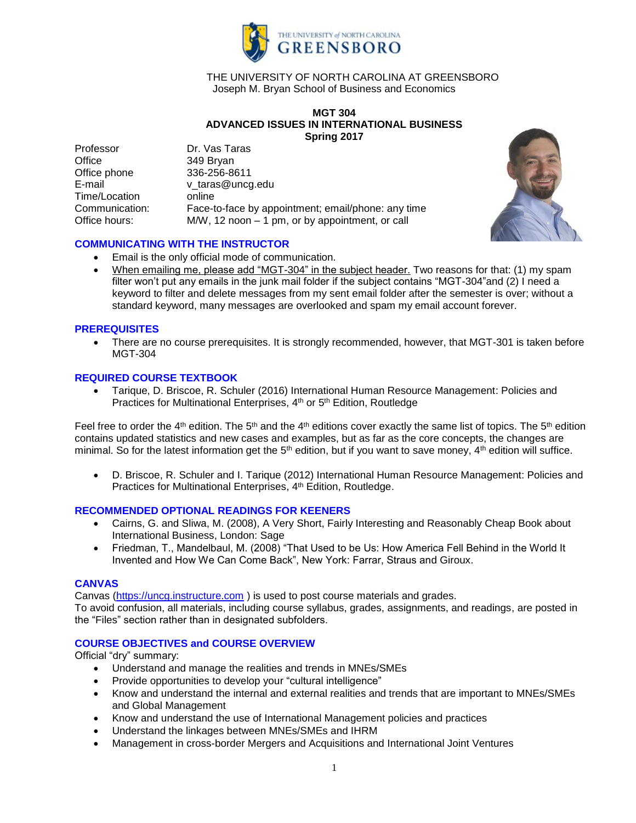

## THE UNIVERSITY OF NORTH CAROLINA AT GREENSBORO Joseph M. Bryan School of Business and Economics

### **MGT 304 ADVANCED ISSUES IN INTERNATIONAL BUSINESS Spring 2017**

Professor Dr. Vas Taras Office 349 Bryan Office phone 336-256-8611 E-mail v taras@uncg.edu Time/Location online<br>Communication: Face-t Face-to-face by appointment; email/phone: any time Office hours: M/W, 12 noon – 1 pm, or by appointment, or call



## **COMMUNICATING WITH THE INSTRUCTOR**

- Email is the only official mode of communication.
- When emailing me, please add "MGT-304" in the subject header. Two reasons for that: (1) my spam filter won't put any emails in the junk mail folder if the subject contains "MGT-304"and (2) I need a keyword to filter and delete messages from my sent email folder after the semester is over; without a standard keyword, many messages are overlooked and spam my email account forever.

## **PREREQUISITES**

 There are no course prerequisites. It is strongly recommended, however, that MGT-301 is taken before MGT-304

## **REQUIRED COURSE TEXTBOOK**

 Tarique, D. Briscoe, R. Schuler (2016) International Human Resource Management: Policies and Practices for Multinational Enterprises, 4<sup>th</sup> or 5<sup>th</sup> Edition, Routledge

Feel free to order the 4<sup>th</sup> edition. The 5<sup>th</sup> and the 4<sup>th</sup> editions cover exactly the same list of topics. The 5<sup>th</sup> edition contains updated statistics and new cases and examples, but as far as the core concepts, the changes are minimal. So for the latest information get the  $5<sup>th</sup>$  edition, but if you want to save money,  $4<sup>th</sup>$  edition will suffice.

 D. Briscoe, R. Schuler and I. Tarique (2012) International Human Resource Management: Policies and Practices for Multinational Enterprises, 4<sup>th</sup> Edition, Routledge.

## **RECOMMENDED OPTIONAL READINGS FOR KEENERS**

- Cairns, G. and Sliwa, M. (2008), A Very Short, Fairly Interesting and Reasonably Cheap Book about International Business, London: Sage
- Friedman, T., Mandelbaul, M. (2008) "That Used to be Us: How America Fell Behind in the World It Invented and How We Can Come Back", New York: Farrar, Straus and Giroux.

## **CANVAS**

Canvas [\(https://uncg.instructure.com](https://uncg.instructure.com/) ) is used to post course materials and grades.

To avoid confusion, all materials, including course syllabus, grades, assignments, and readings, are posted in the "Files" section rather than in designated subfolders.

## **COURSE OBJECTIVES and COURSE OVERVIEW**

Official "dry" summary:

- Understand and manage the realities and trends in MNEs/SMEs
- Provide opportunities to develop your "cultural intelligence"
- Know and understand the internal and external realities and trends that are important to MNEs/SMEs and Global Management
- Know and understand the use of International Management policies and practices
- Understand the linkages between MNEs/SMEs and IHRM
- Management in cross-border Mergers and Acquisitions and International Joint Ventures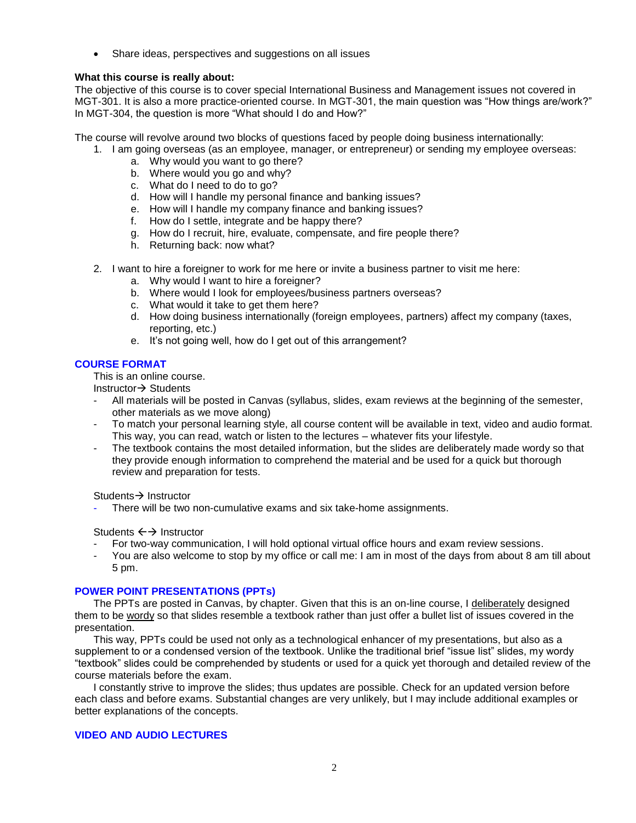Share ideas, perspectives and suggestions on all issues

## **What this course is really about:**

The objective of this course is to cover special International Business and Management issues not covered in MGT-301. It is also a more practice-oriented course. In MGT-301, the main question was "How things are/work?" In MGT-304, the question is more "What should I do and How?"

The course will revolve around two blocks of questions faced by people doing business internationally:

- 1. I am going overseas (as an employee, manager, or entrepreneur) or sending my employee overseas:
	- a. Why would you want to go there?
	- b. Where would you go and why?
	- c. What do I need to do to go?
	- d. How will I handle my personal finance and banking issues?
	- e. How will I handle my company finance and banking issues?
	- f. How do I settle, integrate and be happy there?
	- g. How do I recruit, hire, evaluate, compensate, and fire people there?
	- h. Returning back: now what?
- 2. I want to hire a foreigner to work for me here or invite a business partner to visit me here:
	- a. Why would I want to hire a foreigner?
	- b. Where would I look for employees/business partners overseas?
	- c. What would it take to get them here?
	- d. How doing business internationally (foreign employees, partners) affect my company (taxes, reporting, etc.)
	- e. It's not going well, how do I get out of this arrangement?

## **COURSE FORMAT**

This is an online course.

Instructor $\rightarrow$  Students

- All materials will be posted in Canvas (syllabus, slides, exam reviews at the beginning of the semester, other materials as we move along)
- To match your personal learning style, all course content will be available in text, video and audio format. This way, you can read, watch or listen to the lectures – whatever fits your lifestyle.
- The textbook contains the most detailed information, but the slides are deliberately made wordy so that they provide enough information to comprehend the material and be used for a quick but thorough review and preparation for tests.

Students  $\rightarrow$  Instructor

There will be two non-cumulative exams and six take-home assignments.

Students  $\leftrightarrow$  Instructor

- For two-way communication, I will hold optional virtual office hours and exam review sessions.
- You are also welcome to stop by my office or call me: I am in most of the days from about 8 am till about 5 pm.

## **POWER POINT PRESENTATIONS (PPTs)**

The PPTs are posted in Canvas, by chapter. Given that this is an on-line course, I deliberately designed them to be wordy so that slides resemble a textbook rather than just offer a bullet list of issues covered in the presentation.

This way, PPTs could be used not only as a technological enhancer of my presentations, but also as a supplement to or a condensed version of the textbook. Unlike the traditional brief "issue list" slides, my wordy "textbook" slides could be comprehended by students or used for a quick yet thorough and detailed review of the course materials before the exam.

I constantly strive to improve the slides; thus updates are possible. Check for an updated version before each class and before exams. Substantial changes are very unlikely, but I may include additional examples or better explanations of the concepts.

## **VIDEO AND AUDIO LECTURES**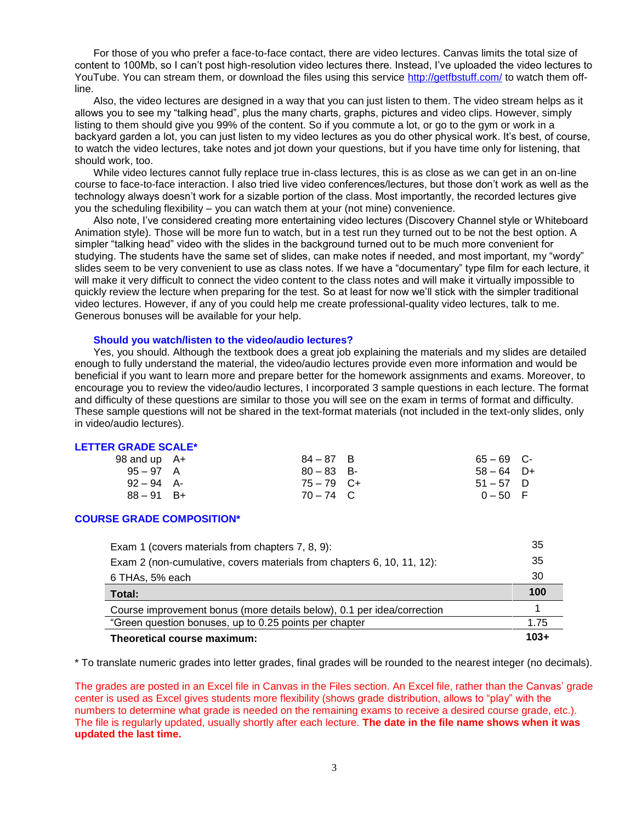For those of you who prefer a face-to-face contact, there are video lectures. Canvas limits the total size of content to 100Mb, so I can't post high-resolution video lectures there. Instead, I've uploaded the video lectures to YouTube. You can stream them, or download the files using this service<http://getfbstuff.com/> to watch them offline.

Also, the video lectures are designed in a way that you can just listen to them. The video stream helps as it allows you to see my "talking head", plus the many charts, graphs, pictures and video clips. However, simply listing to them should give you 99% of the content. So if you commute a lot, or go to the gym or work in a backyard garden a lot, you can just listen to my video lectures as you do other physical work. It's best, of course, to watch the video lectures, take notes and jot down your questions, but if you have time only for listening, that should work, too.

While video lectures cannot fully replace true in-class lectures, this is as close as we can get in an on-line course to face-to-face interaction. I also tried live video conferences/lectures, but those don't work as well as the technology always doesn't work for a sizable portion of the class. Most importantly, the recorded lectures give you the scheduling flexibility – you can watch them at your (not mine) convenience.

Also note, I've considered creating more entertaining video lectures (Discovery Channel style or Whiteboard Animation style). Those will be more fun to watch, but in a test run they turned out to be not the best option. A simpler "talking head" video with the slides in the background turned out to be much more convenient for studying. The students have the same set of slides, can make notes if needed, and most important, my "wordy" slides seem to be very convenient to use as class notes. If we have a "documentary" type film for each lecture, it will make it very difficult to connect the video content to the class notes and will make it virtually impossible to quickly review the lecture when preparing for the test. So at least for now we'll stick with the simpler traditional video lectures. However, if any of you could help me create professional-quality video lectures, talk to me. Generous bonuses will be available for your help.

#### **Should you watch/listen to the video/audio lectures?**

Yes, you should. Although the textbook does a great job explaining the materials and my slides are detailed enough to fully understand the material, the video/audio lectures provide even more information and would be beneficial if you want to learn more and prepare better for the homework assignments and exams. Moreover, to encourage you to review the video/audio lectures, I incorporated 3 sample questions in each lecture. The format and difficulty of these questions are similar to those you will see on the exam in terms of format and difficulty. These sample questions will not be shared in the text-format materials (not included in the text-only slides, only in video/audio lectures).

#### **LETTER GRADE SCALE\***

| 98 and up $A+$ | $84 - 87$ B  | $65 - 69$ C- |  |
|----------------|--------------|--------------|--|
| $95 - 97$ A    | $80 - 83$ B- | $58 - 64$ D+ |  |
| $92 - 94$ A-   | $75 - 79$ C+ | $51 - 57$ D  |  |
| $88 - 91$ B+   | $70 - 74$ C  | $0 - 50$ F   |  |

#### **COURSE GRADE COMPOSITION\***

| Exam 1 (covers materials from chapters 7, 8, 9):                       | 35     |
|------------------------------------------------------------------------|--------|
| Exam 2 (non-cumulative, covers materials from chapters 6, 10, 11, 12): | 35     |
| 6 THAs, 5% each                                                        | -30    |
| Total:                                                                 | 100    |
| Course improvement bonus (more details below), 0.1 per idea/correction |        |
| "Green question bonuses, up to 0.25 points per chapter                 | 1.75   |
| Theoretical course maximum:                                            | $103+$ |

\* To translate numeric grades into letter grades, final grades will be rounded to the nearest integer (no decimals).

The grades are posted in an Excel file in Canvas in the Files section. An Excel file, rather than the Canvas' grade center is used as Excel gives students more flexibility (shows grade distribution, allows to "play" with the numbers to determine what grade is needed on the remaining exams to receive a desired course grade, etc.). The file is regularly updated, usually shortly after each lecture. **The date in the file name shows when it was updated the last time.**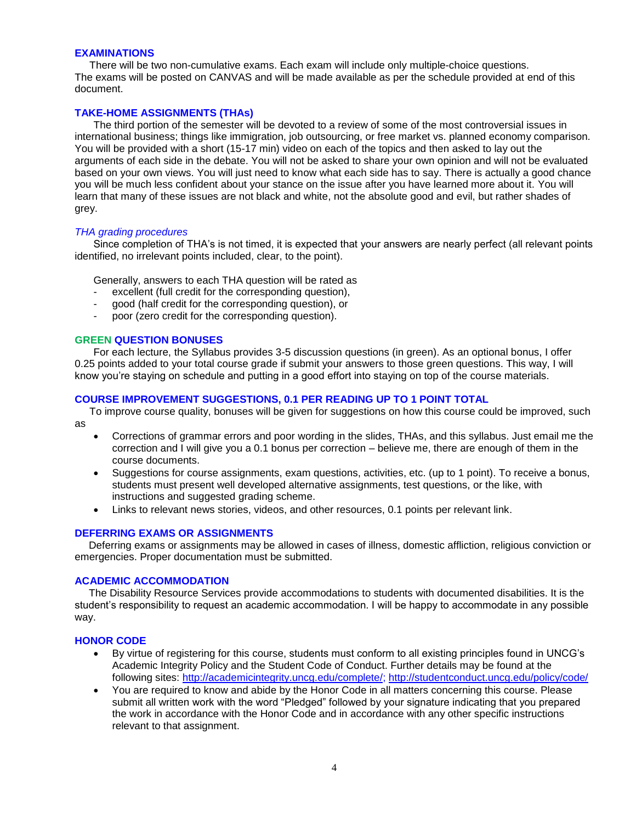### **EXAMINATIONS**

There will be two non-cumulative exams. Each exam will include only multiple-choice questions. The exams will be posted on CANVAS and will be made available as per the schedule provided at end of this document.

## **TAKE-HOME ASSIGNMENTS (THAs)**

The third portion of the semester will be devoted to a review of some of the most controversial issues in international business; things like immigration, job outsourcing, or free market vs. planned economy comparison. You will be provided with a short (15-17 min) video on each of the topics and then asked to lay out the arguments of each side in the debate. You will not be asked to share your own opinion and will not be evaluated based on your own views. You will just need to know what each side has to say. There is actually a good chance you will be much less confident about your stance on the issue after you have learned more about it. You will learn that many of these issues are not black and white, not the absolute good and evil, but rather shades of grey.

### *THA grading procedures*

Since completion of THA's is not timed, it is expected that your answers are nearly perfect (all relevant points identified, no irrelevant points included, clear, to the point).

Generally, answers to each THA question will be rated as

- excellent (full credit for the corresponding question),
- good (half credit for the corresponding question), or
- poor (zero credit for the corresponding question).

### **GREEN QUESTION BONUSES**

For each lecture, the Syllabus provides 3-5 discussion questions (in green). As an optional bonus, I offer 0.25 points added to your total course grade if submit your answers to those green questions. This way, I will know you're staying on schedule and putting in a good effort into staying on top of the course materials.

### **COURSE IMPROVEMENT SUGGESTIONS, 0.1 PER READING UP TO 1 POINT TOTAL**

To improve course quality, bonuses will be given for suggestions on how this course could be improved, such as

- Corrections of grammar errors and poor wording in the slides, THAs, and this syllabus. Just email me the correction and I will give you a 0.1 bonus per correction – believe me, there are enough of them in the course documents.
- Suggestions for course assignments, exam questions, activities, etc. (up to 1 point). To receive a bonus, students must present well developed alternative assignments, test questions, or the like, with instructions and suggested grading scheme.
- Links to relevant news stories, videos, and other resources, 0.1 points per relevant link.

## **DEFERRING EXAMS OR ASSIGNMENTS**

Deferring exams or assignments may be allowed in cases of illness, domestic affliction, religious conviction or emergencies. Proper documentation must be submitted.

#### **ACADEMIC ACCOMMODATION**

The Disability Resource Services provide accommodations to students with documented disabilities. It is the student's responsibility to request an academic accommodation. I will be happy to accommodate in any possible way.

### **HONOR CODE**

- By virtue of registering for this course, students must conform to all existing principles found in UNCG's Academic Integrity Policy and the Student Code of Conduct. Further details may be found at the following sites: [http://academicintegrity.uncg.edu/complete/;](http://academicintegrity.uncg.edu/complete/)<http://studentconduct.uncg.edu/policy/code/>
- You are required to know and abide by the Honor Code in all matters concerning this course. Please submit all written work with the word "Pledged" followed by your signature indicating that you prepared the work in accordance with the Honor Code and in accordance with any other specific instructions relevant to that assignment.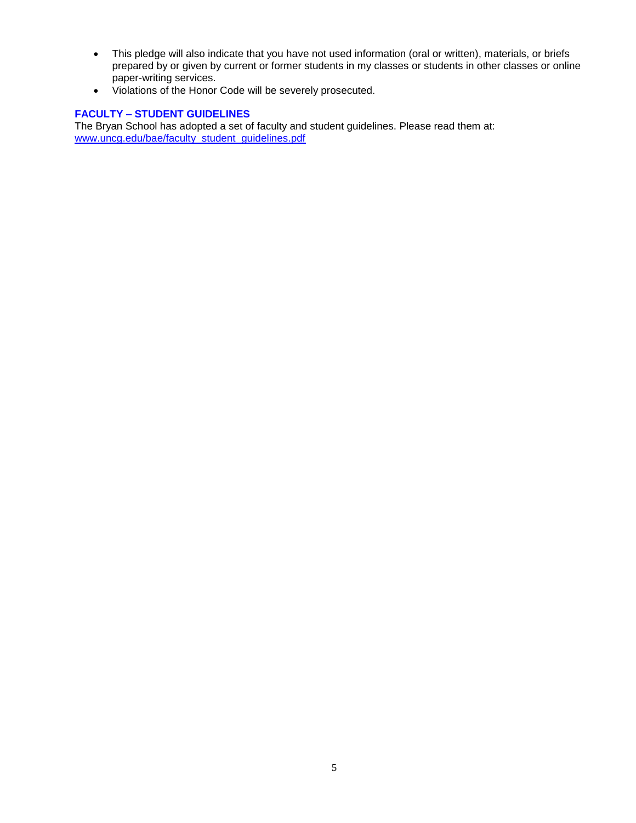- This pledge will also indicate that you have not used information (oral or written), materials, or briefs prepared by or given by current or former students in my classes or students in other classes or online paper-writing services.
- Violations of the Honor Code will be severely prosecuted.

## **FACULTY – STUDENT GUIDELINES**

The Bryan School has adopted a set of faculty and student guidelines. Please read them at: [www.uncg.edu/bae/faculty\\_student\\_guidelines.pdf](http://www.uncg.edu/bae/faculty_student_guidelines.pdf)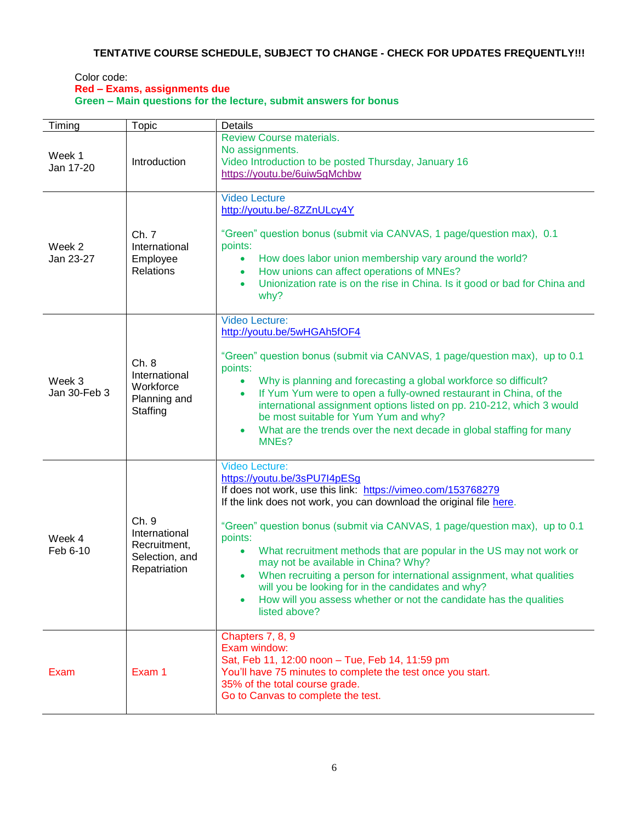# **TENTATIVE COURSE SCHEDULE, SUBJECT TO CHANGE - CHECK FOR UPDATES FREQUENTLY!!!**

### Color code: **Red – Exams, assignments due Green – Main questions for the lecture, submit answers for bonus**

| Timing                 | Topic                                                                    | <b>Details</b>                                                                                                                                                                                                                                                                                                                                                                                                                                                                                                                                                                                                                                      |
|------------------------|--------------------------------------------------------------------------|-----------------------------------------------------------------------------------------------------------------------------------------------------------------------------------------------------------------------------------------------------------------------------------------------------------------------------------------------------------------------------------------------------------------------------------------------------------------------------------------------------------------------------------------------------------------------------------------------------------------------------------------------------|
| Week 1<br>Jan 17-20    | Introduction                                                             | <b>Review Course materials.</b><br>No assignments.<br>Video Introduction to be posted Thursday, January 16<br>https://youtu.be/6uiw5gMchbw                                                                                                                                                                                                                                                                                                                                                                                                                                                                                                          |
| Week 2<br>Jan 23-27    | Ch. 7<br>International<br>Employee<br><b>Relations</b>                   | <b>Video Lecture</b><br>http://youtu.be/-8ZZnULcy4Y<br>"Green" question bonus (submit via CANVAS, 1 page/question max), 0.1<br>points:<br>How does labor union membership vary around the world?<br>How unions can affect operations of MNEs?<br>$\bullet$<br>Unionization rate is on the rise in China. Is it good or bad for China and<br>$\bullet$<br>why?                                                                                                                                                                                                                                                                                       |
| Week 3<br>Jan 30-Feb 3 | Ch.8<br>International<br>Workforce<br>Planning and<br>Staffing           | <b>Video Lecture:</b><br>http://youtu.be/5wHGAh5fOF4<br>"Green" question bonus (submit via CANVAS, 1 page/question max), up to 0.1<br>points:<br>Why is planning and forecasting a global workforce so difficult?<br>If Yum Yum were to open a fully-owned restaurant in China, of the<br>$\bullet$<br>international assignment options listed on pp. 210-212, which 3 would<br>be most suitable for Yum Yum and why?<br>What are the trends over the next decade in global staffing for many<br>$\bullet$<br>MNE <sub>s</sub> ?                                                                                                                    |
| Week 4<br>Feb 6-10     | Ch. 9<br>International<br>Recruitment,<br>Selection, and<br>Repatriation | <b>Video Lecture:</b><br>https://youtu.be/3sPU7I4pESg<br>If does not work, use this link: https://vimeo.com/153768279<br>If the link does not work, you can download the original file here.<br>"Green" question bonus (submit via CANVAS, 1 page/question max), up to 0.1<br>points:<br>What recruitment methods that are popular in the US may not work or<br>$\bullet$<br>may not be available in China? Why?<br>When recruiting a person for international assignment, what qualities<br>will you be looking for in the candidates and why?<br>How will you assess whether or not the candidate has the qualities<br>$\bullet$<br>listed above? |
| Exam                   | Exam 1                                                                   | Chapters 7, 8, 9<br>Exam window:<br>Sat, Feb 11, 12:00 noon - Tue, Feb 14, 11:59 pm<br>You'll have 75 minutes to complete the test once you start.<br>35% of the total course grade.<br>Go to Canvas to complete the test.                                                                                                                                                                                                                                                                                                                                                                                                                          |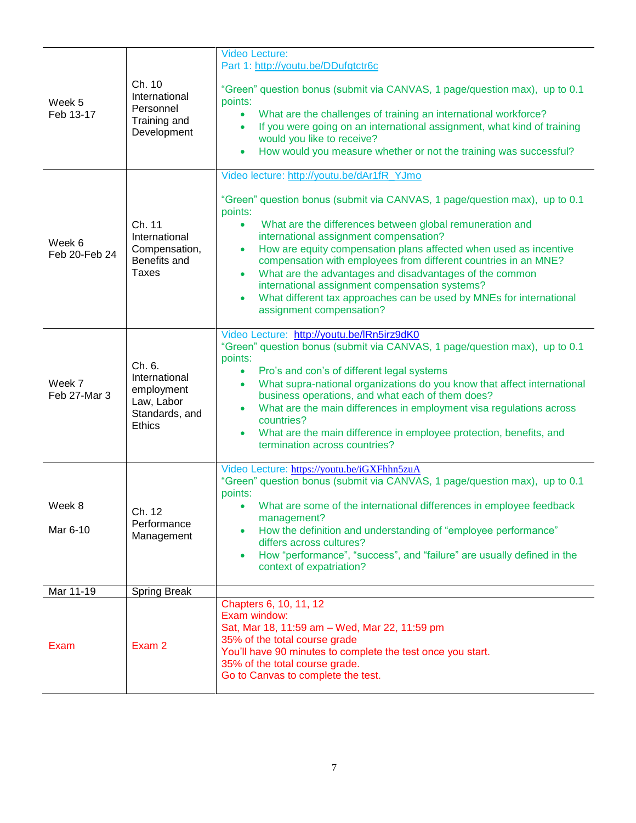| Week 5<br>Feb 13-17     | Ch. 10<br>International<br>Personnel<br>Training and<br>Development                    | Video Lecture:<br>Part 1: http://youtu.be/DDufgtctr6c<br>"Green" question bonus (submit via CANVAS, 1 page/question max), up to 0.1<br>points:<br>What are the challenges of training an international workforce?<br>If you were going on an international assignment, what kind of training<br>would you like to receive?<br>How would you measure whether or not the training was successful?                                                                                                                                                                                                                                          |
|-------------------------|----------------------------------------------------------------------------------------|------------------------------------------------------------------------------------------------------------------------------------------------------------------------------------------------------------------------------------------------------------------------------------------------------------------------------------------------------------------------------------------------------------------------------------------------------------------------------------------------------------------------------------------------------------------------------------------------------------------------------------------|
| Week 6<br>Feb 20-Feb 24 | Ch. 11<br>International<br>Compensation,<br>Benefits and<br><b>Taxes</b>               | Video lecture: http://youtu.be/dAr1fR_YJmo<br>"Green" question bonus (submit via CANVAS, 1 page/question max), up to 0.1<br>points:<br>What are the differences between global remuneration and<br>$\bullet$<br>international assignment compensation?<br>How are equity compensation plans affected when used as incentive<br>$\bullet$<br>compensation with employees from different countries in an MNE?<br>What are the advantages and disadvantages of the common<br>$\bullet$<br>international assignment compensation systems?<br>What different tax approaches can be used by MNEs for international<br>assignment compensation? |
| Week 7<br>Feb 27-Mar 3  | Ch. 6.<br>International<br>employment<br>Law, Labor<br>Standards, and<br><b>Ethics</b> | Video Lecture: http://youtu.be/IRn5irz9dK0<br>"Green" question bonus (submit via CANVAS, 1 page/question max), up to 0.1<br>points:<br>Pro's and con's of different legal systems<br>$\bullet$<br>What supra-national organizations do you know that affect international<br>$\bullet$<br>business operations, and what each of them does?<br>What are the main differences in employment visa regulations across<br>$\bullet$<br>countries?<br>What are the main difference in employee protection, benefits, and<br>termination across countries?                                                                                      |
| Week 8<br>Mar 6-10      | Ch. 12<br>Performance<br>Management                                                    | Video Lecture: https://youtu.be/iGXFhhn5zuA<br>"Green" question bonus (submit via CANVAS, 1 page/question max), up to 0.1<br>points:<br>What are some of the international differences in employee feedback<br>management?<br>How the definition and understanding of "employee performance"<br>differs across cultures?<br>How "performance", "success", and "failure" are usually defined in the<br>context of expatriation?                                                                                                                                                                                                           |
| Mar 11-19               | <b>Spring Break</b>                                                                    |                                                                                                                                                                                                                                                                                                                                                                                                                                                                                                                                                                                                                                          |
| Exam                    | Exam 2                                                                                 | Chapters 6, 10, 11, 12<br>Exam window:<br>Sat, Mar 18, 11:59 am - Wed, Mar 22, 11:59 pm<br>35% of the total course grade<br>You'll have 90 minutes to complete the test once you start.<br>35% of the total course grade.<br>Go to Canvas to complete the test.                                                                                                                                                                                                                                                                                                                                                                          |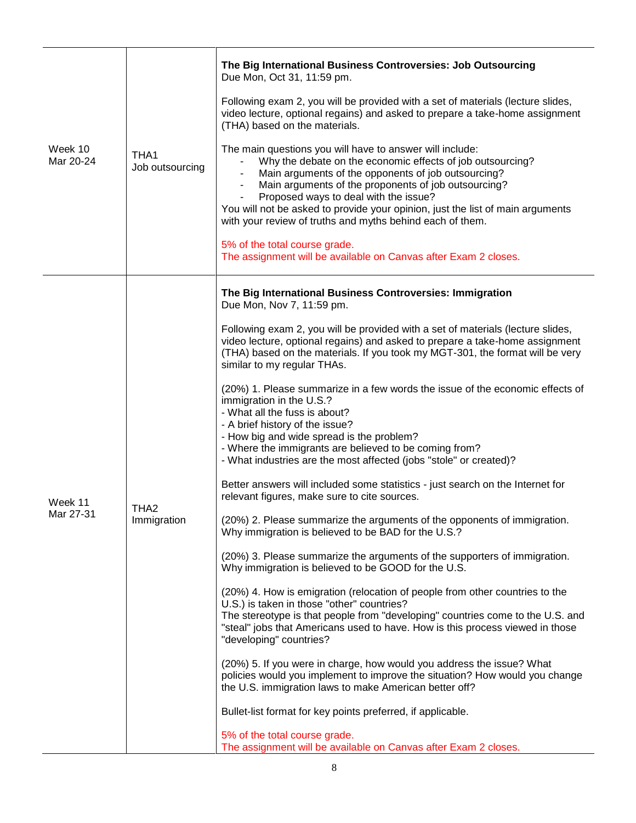| Week 10<br>Mar 20-24 | THA1<br>Job outsourcing         | The Big International Business Controversies: Job Outsourcing<br>Due Mon, Oct 31, 11:59 pm.<br>Following exam 2, you will be provided with a set of materials (lecture slides,<br>video lecture, optional regains) and asked to prepare a take-home assignment<br>(THA) based on the materials.<br>The main questions you will have to answer will include:<br>Why the debate on the economic effects of job outsourcing?<br>Main arguments of the opponents of job outsourcing?<br>Main arguments of the proponents of job outsourcing?<br>Proposed ways to deal with the issue?<br>You will not be asked to provide your opinion, just the list of main arguments<br>with your review of truths and myths behind each of them.<br>5% of the total course grade.<br>The assignment will be available on Canvas after Exam 2 closes.                                                                                                                                                                                                                                                                                                                                                                                                                                                                                                                                                                                                                                                                                                                                                                                                                                                                                                                                                                                                                              |
|----------------------|---------------------------------|-------------------------------------------------------------------------------------------------------------------------------------------------------------------------------------------------------------------------------------------------------------------------------------------------------------------------------------------------------------------------------------------------------------------------------------------------------------------------------------------------------------------------------------------------------------------------------------------------------------------------------------------------------------------------------------------------------------------------------------------------------------------------------------------------------------------------------------------------------------------------------------------------------------------------------------------------------------------------------------------------------------------------------------------------------------------------------------------------------------------------------------------------------------------------------------------------------------------------------------------------------------------------------------------------------------------------------------------------------------------------------------------------------------------------------------------------------------------------------------------------------------------------------------------------------------------------------------------------------------------------------------------------------------------------------------------------------------------------------------------------------------------------------------------------------------------------------------------------------------------|
| Week 11<br>Mar 27-31 | THA <sub>2</sub><br>Immigration | The Big International Business Controversies: Immigration<br>Due Mon, Nov 7, 11:59 pm.<br>Following exam 2, you will be provided with a set of materials (lecture slides,<br>video lecture, optional regains) and asked to prepare a take-home assignment<br>(THA) based on the materials. If you took my MGT-301, the format will be very<br>similar to my regular THAs.<br>(20%) 1. Please summarize in a few words the issue of the economic effects of<br>immigration in the U.S.?<br>- What all the fuss is about?<br>- A brief history of the issue?<br>- How big and wide spread is the problem?<br>- Where the immigrants are believed to be coming from?<br>- What industries are the most affected (jobs "stole" or created)?<br>Better answers will included some statistics - just search on the Internet for<br>relevant figures, make sure to cite sources.<br>(20%) 2. Please summarize the arguments of the opponents of immigration.<br>Why immigration is believed to be BAD for the U.S.?<br>(20%) 3. Please summarize the arguments of the supporters of immigration.<br>Why immigration is believed to be GOOD for the U.S.<br>(20%) 4. How is emigration (relocation of people from other countries to the<br>U.S.) is taken in those "other" countries?<br>The stereotype is that people from "developing" countries come to the U.S. and<br>"steal" jobs that Americans used to have. How is this process viewed in those<br>"developing" countries?<br>(20%) 5. If you were in charge, how would you address the issue? What<br>policies would you implement to improve the situation? How would you change<br>the U.S. immigration laws to make American better off?<br>Bullet-list format for key points preferred, if applicable.<br>5% of the total course grade.<br>The assignment will be available on Canvas after Exam 2 closes. |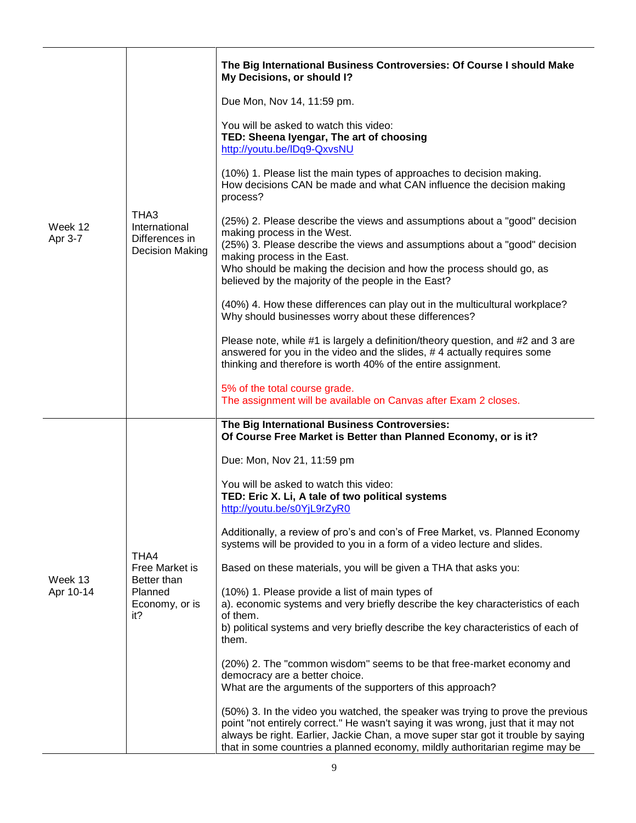| Week 12<br>Apr 3-7   | THA3<br>International<br>Differences in<br>Decision Making                | The Big International Business Controversies: Of Course I should Make<br>My Decisions, or should I?<br>Due Mon, Nov 14, 11:59 pm.<br>You will be asked to watch this video:<br>TED: Sheena Iyengar, The art of choosing<br>http://youtu.be/IDq9-QxvsNU<br>(10%) 1. Please list the main types of approaches to decision making.<br>How decisions CAN be made and what CAN influence the decision making<br>process?<br>(25%) 2. Please describe the views and assumptions about a "good" decision<br>making process in the West.<br>(25%) 3. Please describe the views and assumptions about a "good" decision<br>making process in the East.<br>Who should be making the decision and how the process should go, as<br>believed by the majority of the people in the East?<br>(40%) 4. How these differences can play out in the multicultural workplace?<br>Why should businesses worry about these differences?<br>Please note, while #1 is largely a definition/theory question, and #2 and 3 are<br>answered for you in the video and the slides, #4 actually requires some<br>thinking and therefore is worth 40% of the entire assignment.<br>5% of the total course grade.<br>The assignment will be available on Canvas after Exam 2 closes.                             |
|----------------------|---------------------------------------------------------------------------|-----------------------------------------------------------------------------------------------------------------------------------------------------------------------------------------------------------------------------------------------------------------------------------------------------------------------------------------------------------------------------------------------------------------------------------------------------------------------------------------------------------------------------------------------------------------------------------------------------------------------------------------------------------------------------------------------------------------------------------------------------------------------------------------------------------------------------------------------------------------------------------------------------------------------------------------------------------------------------------------------------------------------------------------------------------------------------------------------------------------------------------------------------------------------------------------------------------------------------------------------------------------------------------|
| Week 13<br>Apr 10-14 | THA4<br>Free Market is<br>Better than<br>Planned<br>Economy, or is<br>it? | The Big International Business Controversies:<br>Of Course Free Market is Better than Planned Economy, or is it?<br>Due: Mon, Nov 21, 11:59 pm<br>You will be asked to watch this video:<br>TED: Eric X. Li, A tale of two political systems<br>http://youtu.be/s0YjL9rZyR0<br>Additionally, a review of pro's and con's of Free Market, vs. Planned Economy<br>systems will be provided to you in a form of a video lecture and slides.<br>Based on these materials, you will be given a THA that asks you:<br>(10%) 1. Please provide a list of main types of<br>a). economic systems and very briefly describe the key characteristics of each<br>of them.<br>b) political systems and very briefly describe the key characteristics of each of<br>them.<br>(20%) 2. The "common wisdom" seems to be that free-market economy and<br>democracy are a better choice.<br>What are the arguments of the supporters of this approach?<br>(50%) 3. In the video you watched, the speaker was trying to prove the previous<br>point "not entirely correct." He wasn't saying it was wrong, just that it may not<br>always be right. Earlier, Jackie Chan, a move super star got it trouble by saying<br>that in some countries a planned economy, mildly authoritarian regime may be |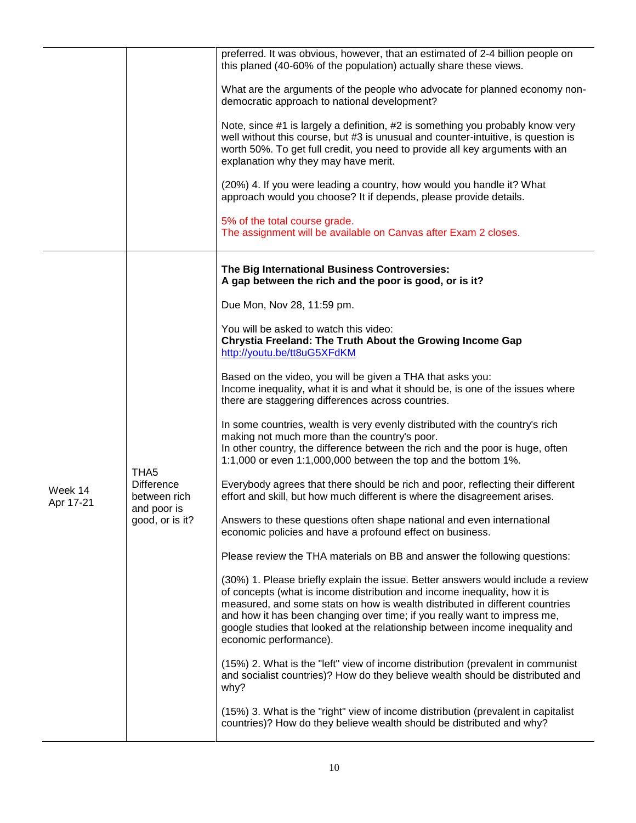|                      |                                                                                         | preferred. It was obvious, however, that an estimated of 2-4 billion people on<br>this planed (40-60% of the population) actually share these views.                                                                                                                                                                                                                                                                                 |
|----------------------|-----------------------------------------------------------------------------------------|--------------------------------------------------------------------------------------------------------------------------------------------------------------------------------------------------------------------------------------------------------------------------------------------------------------------------------------------------------------------------------------------------------------------------------------|
|                      |                                                                                         | What are the arguments of the people who advocate for planned economy non-<br>democratic approach to national development?                                                                                                                                                                                                                                                                                                           |
|                      |                                                                                         | Note, since #1 is largely a definition, #2 is something you probably know very<br>well without this course, but #3 is unusual and counter-intuitive, is question is<br>worth 50%. To get full credit, you need to provide all key arguments with an<br>explanation why they may have merit.                                                                                                                                          |
|                      |                                                                                         | (20%) 4. If you were leading a country, how would you handle it? What<br>approach would you choose? It if depends, please provide details.                                                                                                                                                                                                                                                                                           |
|                      |                                                                                         | 5% of the total course grade.<br>The assignment will be available on Canvas after Exam 2 closes.                                                                                                                                                                                                                                                                                                                                     |
|                      |                                                                                         | The Big International Business Controversies:<br>A gap between the rich and the poor is good, or is it?                                                                                                                                                                                                                                                                                                                              |
|                      |                                                                                         | Due Mon, Nov 28, 11:59 pm.                                                                                                                                                                                                                                                                                                                                                                                                           |
|                      | THA <sub>5</sub><br><b>Difference</b><br>between rich<br>and poor is<br>good, or is it? | You will be asked to watch this video:<br>Chrystia Freeland: The Truth About the Growing Income Gap<br>http://youtu.be/tt8uG5XFdKM                                                                                                                                                                                                                                                                                                   |
|                      |                                                                                         | Based on the video, you will be given a THA that asks you:<br>Income inequality, what it is and what it should be, is one of the issues where<br>there are staggering differences across countries.                                                                                                                                                                                                                                  |
|                      |                                                                                         | In some countries, wealth is very evenly distributed with the country's rich<br>making not much more than the country's poor.<br>In other country, the difference between the rich and the poor is huge, often<br>1:1,000 or even 1:1,000,000 between the top and the bottom 1%.                                                                                                                                                     |
| Week 14<br>Apr 17-21 |                                                                                         | Everybody agrees that there should be rich and poor, reflecting their different<br>effort and skill, but how much different is where the disagreement arises.                                                                                                                                                                                                                                                                        |
|                      |                                                                                         | Answers to these questions often shape national and even international<br>economic policies and have a profound effect on business.                                                                                                                                                                                                                                                                                                  |
|                      |                                                                                         | Please review the THA materials on BB and answer the following questions:                                                                                                                                                                                                                                                                                                                                                            |
|                      |                                                                                         | (30%) 1. Please briefly explain the issue. Better answers would include a review<br>of concepts (what is income distribution and income inequality, how it is<br>measured, and some stats on how is wealth distributed in different countries<br>and how it has been changing over time; if you really want to impress me,<br>google studies that looked at the relationship between income inequality and<br>economic performance). |
|                      |                                                                                         | (15%) 2. What is the "left" view of income distribution (prevalent in communist<br>and socialist countries)? How do they believe wealth should be distributed and<br>why?                                                                                                                                                                                                                                                            |
|                      |                                                                                         | (15%) 3. What is the "right" view of income distribution (prevalent in capitalist<br>countries)? How do they believe wealth should be distributed and why?                                                                                                                                                                                                                                                                           |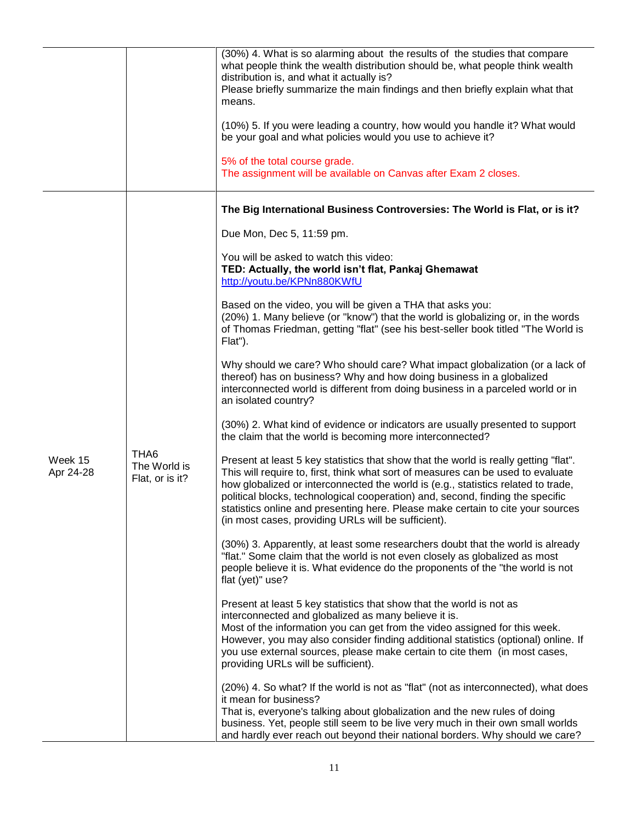|                      |                                                     | (30%) 4. What is so alarming about the results of the studies that compare<br>what people think the wealth distribution should be, what people think wealth<br>distribution is, and what it actually is?<br>Please briefly summarize the main findings and then briefly explain what that<br>means.<br>(10%) 5. If you were leading a country, how would you handle it? What would<br>be your goal and what policies would you use to achieve it?<br>5% of the total course grade.<br>The assignment will be available on Canvas after Exam 2 closes. |
|----------------------|-----------------------------------------------------|-------------------------------------------------------------------------------------------------------------------------------------------------------------------------------------------------------------------------------------------------------------------------------------------------------------------------------------------------------------------------------------------------------------------------------------------------------------------------------------------------------------------------------------------------------|
|                      |                                                     | The Big International Business Controversies: The World is Flat, or is it?                                                                                                                                                                                                                                                                                                                                                                                                                                                                            |
|                      |                                                     | Due Mon, Dec 5, 11:59 pm.                                                                                                                                                                                                                                                                                                                                                                                                                                                                                                                             |
|                      |                                                     | You will be asked to watch this video:<br>TED: Actually, the world isn't flat, Pankaj Ghemawat<br>http://youtu.be/KPNn880KWfU                                                                                                                                                                                                                                                                                                                                                                                                                         |
|                      |                                                     | Based on the video, you will be given a THA that asks you:<br>(20%) 1. Many believe (or "know") that the world is globalizing or, in the words<br>of Thomas Friedman, getting "flat" (see his best-seller book titled "The World is<br>Flat").                                                                                                                                                                                                                                                                                                        |
|                      |                                                     | Why should we care? Who should care? What impact globalization (or a lack of<br>thereof) has on business? Why and how doing business in a globalized<br>interconnected world is different from doing business in a parceled world or in<br>an isolated country?                                                                                                                                                                                                                                                                                       |
|                      |                                                     | (30%) 2. What kind of evidence or indicators are usually presented to support<br>the claim that the world is becoming more interconnected?                                                                                                                                                                                                                                                                                                                                                                                                            |
| Week 15<br>Apr 24-28 | THA <sub>6</sub><br>The World is<br>Flat, or is it? | Present at least 5 key statistics that show that the world is really getting "flat".<br>This will require to, first, think what sort of measures can be used to evaluate<br>how globalized or interconnected the world is (e.g., statistics related to trade,<br>political blocks, technological cooperation) and, second, finding the specific<br>statistics online and presenting here. Please make certain to cite your sources<br>(in most cases, providing URLs will be sufficient).                                                             |
|                      |                                                     | (30%) 3. Apparently, at least some researchers doubt that the world is already<br>"flat." Some claim that the world is not even closely as globalized as most<br>people believe it is. What evidence do the proponents of the "the world is not<br>flat (yet)" use?                                                                                                                                                                                                                                                                                   |
|                      |                                                     | Present at least 5 key statistics that show that the world is not as<br>interconnected and globalized as many believe it is.<br>Most of the information you can get from the video assigned for this week.<br>However, you may also consider finding additional statistics (optional) online. If<br>you use external sources, please make certain to cite them (in most cases,<br>providing URLs will be sufficient).                                                                                                                                 |
|                      |                                                     | (20%) 4. So what? If the world is not as "flat" (not as interconnected), what does<br>it mean for business?<br>That is, everyone's talking about globalization and the new rules of doing<br>business. Yet, people still seem to be live very much in their own small worlds<br>and hardly ever reach out beyond their national borders. Why should we care?                                                                                                                                                                                          |